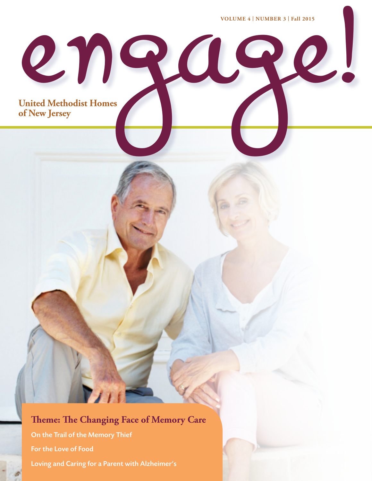**VOLUME 4 | NUMBER 3 | Fall 2015**

**United Methodist Homes of New Jersey** engage!

## **Theme: The Changing Face of Memory Care**

On the Trail of the Memory Thief For the Love of Food

Loving and Caring for a Parent with Alzheimer's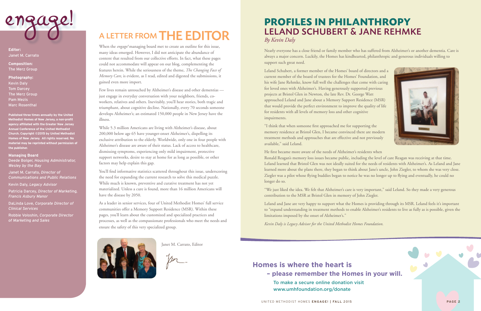

When the *engage!* managing board met to create an outline for this issue, many ideas emerged. However, I did not anticipate the abundance of content that resulted from our collective efforts. In fact, what these pages could not accommodate will appear on our blog, complementing the features herein. While the seriousness of the theme, *The Changing Face of Memory Care*, is evident, as I read, edited and digested the submissions, it gained even more import.

Few lives remain untouched by Alzheimer's disease and other dementias just engage in everyday conversation with your neighbors, friends, coworkers, relatives and others. Inevitably, you'll hear stories, both tragic and triumphant, about cognitive decline. Nationally, every 70 seconds someone develops Alzheimer's; an estimated 150,000 people in New Jersey have the illness.

You'll find informative statistics scattered throughout this issue, underscoring the need for expanding the current research to solve this medical puzzle. While much is known, preventive and curative treatment has not yet materialized. Unless a cure is found, more than 16 million Americans will have the disease by 2050.

While 5.3 million Americans are living with Alzheimer's disease, about 200,000 below age 65 have younger-onset Alzheimer's, dispelling its exclusive attribution to the elderly. Worldwide, only one in four people with Alzheimer's disease are aware of their status. Lack of access to healthcare, dismissing symptoms, experiencing only mild impairment, protective support networks, desire to stay at home for as long as possible, or other factors may help explain this gap.

As a leader in senior services, four of United Methodist Homes' full service communities offer a Memory Support Residence (MSR). Within these pages, you'll learn about the customized and specialized practices and processes, as well as the compassionate professionals who meet the needs and ensure the safety of this very specialized group.



Janet M. Carrato, Editor

**Editor:** Janet M. Carrato

**Composition:** The Merz Group

**Photography:** Kevin Daly Tom Darcey The Merz Group Pam Mezis Marc Rosenthal

**Published three times annually by the United Methodist Homes of New Jersey, a non-profit agency affiliated with the Greater New Jersey Annual Conference of the United Methodist Church. Copyright ©2015 by United Methodist Homes of New Jersey. All rights reserved. No material may be reprinted without permission of the publisher.**

#### **Managing Board**

Deede Bolger, *Housing Administrator, Wesley by the Bay*

Janet M. Carrato, *Director of Communications and Public Relations*

Kevin Daly, *Legacy Advisor*

Patricia Darcey, *Director of Marketing, Francis Asbury Manor*

DaLinda Love, *Corporate Director of Clinical Services*

Robbie Voloshin, *Corporate Director of Marketing and Sales*

# A LETTER FROM THE EDITOR

### **PROFILES IN PHILANTHROPY** LELAND SCHUBERT & JANE REHMKE *By Kevin Daly*

Nearly everyone has a close friend or family member who has suffered from Alzheimer's or another dementia. Care is always a major concern. Luckily, the Homes has kindhearted, philanthropic and generous individuals willing to support such great need.

Leland Schubert, a former member of the Homes' board of directors and a current member of the board of trustees for the Homes' Foundation, and his wife Jane Rehmke, know full well the challenges that come with caring for loved ones with Alzheimer's. Having generously supported previous projects at Bristol Glen in Newton, the late Rev. Dr. George Watt approached Leland and Jane about a Memory Support Residence (MSR) that would provide the perfect environment to improve the quality of life for residents with all levels of memory loss and other cognitive impairments.

"I think that when someone first approached me for supporting the memory residence at Bristol Glen, I became convinced there are modern treatment methods and approaches that are effective and not previously available," said Leland.

He first became more aware of the needs of Alzheimer's residents when Ronald Reagan's memory loss issues became public, including the level of care Reagan was receiving at that time. Leland learned that Bristol Glen was not ideally suited for the needs of residents with Alzheimer's. As Leland and Jane learned more about the plans there, they began to think about Jane's uncle, John Ziegler, to whom she was very close. Ziegler was a pilot whose flying buddies began to notice he was no longer up to flying and eventually, he could no longer do so.

"We just liked the idea. We felt that Alzheimer's care is very important," said Leland. So they made a very generous contribution to the MSR at Bristol Glen in memory of John Ziegler.

Leland and Jane are very happy to support what the Homes is providing through its MSR. Leland feels it's important to "expand understanding in treatment methods to enable Alzheimer's residents to live as fully as is possible, given the limitations imposed by the onset of Alzheimer's."

*Kevin Daly is Legacy Advisor for the United Methodist Homes Foundation.*

### **Homes is where the heart is – please remember the Homes in your will.**

To make a secure online donation visit www.umhfoundation.org/donate

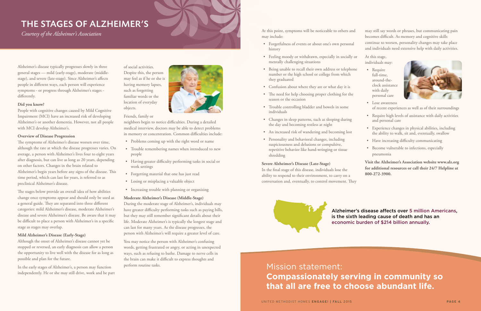## Mission statement: **Compassionately serving in community so that all are free to choose abundant life.**

# THE STAGES OF ALZHEIMER'S

*Courtesy of the Alzheimer's Association*

Alzheimer's disease typically progresses slowly in three general stages — mild (early-stage), moderate (middlestage), and severe (late-stage). Since Alzheimer's affects people in different ways, each person will experience symptoms - or progress through Alzheimer's stages differently.

### **Did you know?**

People with cognitive changes caused by Mild Cognitive Impairment (MCI) have an increased risk of developing Alzheimer's or another dementia. However, not all people with MCI develop Alzheimer's.

### **Overview of Disease Progression**

The symptoms of Alzheimer's disease worsen over time, although the rate at which the disease progresses varies. On average, a person with Alzheimer's lives four to eight years after diagnosis, but can live as long as 20 years, depending on other factors. Changes in the brain related to Alzheimer's begin years before any signs of the disease. This time period, which can last for years, is referred to as preclinical Alzheimer's disease.

The stages below provide an overall idea of how abilities change once symptoms appear and should only be used as a general guide. They are separated into three different categories: mild Alzheimer's disease, moderate Alzheimer's disease and severe Alzheimer's disease. Be aware that it may be difficult to place a person with Alzheimer's in a specific stage as stages may overlap.

### **Mild Alzheimer's Disease (Early-Stage)**

Although the onset of Alzheimer's disease cannot yet be stopped or reversed, an early diagnosis can allow a person the opportunity to live well with the disease for as long as possible and plan for the future.

In the early stages of Alzheimer's, a person may function independently. He or she may still drive, work and be part of social activities. Despite this, the person may feel as if he or she is having memory lapses, such as forgetting familiar words or the location of everyday objects.

#### Friends, family or

neighbors begin to notice difficulties. During a detailed medical interview, doctors may be able to detect problems in memory or concentration. Common difficulties include:

- Problems coming up with the right word or name
- Trouble remembering names when introduced to new people
- Having greater difficulty performing tasks in social or work settings
- Forgetting material that one has just read
- Losing or misplacing a valuable object
- Increasing trouble with planning or organizing

#### **Moderate Alzheimer's Disease (Middle-Stage)**

During the moderate stage of Alzheimer's, individuals may have greater difficulty performing tasks such as paying bills, but they may still remember significant details about their life. Moderate Alzheimer's is typically the longest stage and can last for many years. As the disease progresses, the person with Alzheimer's will require a greater level of care.

You may notice the person with Alzheimer's confusing words, getting frustrated or angry, or acting in unexpected ways, such as refusing to bathe. Damage to nerve cells in the brain can make it difficult to express thoughts and perform routine tasks.

- history
- Feeling moody or withdrawn, especially in socially or mentally challenging situations
- Being unable to recall their own address or telephone number or the high school or college from which they graduated
- Confusion about where they are or what day it is
- The need for help choosing proper clothing for the season or the occasion
- Trouble controlling bladder and bowels in some individuals
- Changes in sleep patterns, such as sleeping during the day and becoming restless at night
- An increased risk of wandering and becoming lost
- Personality and behavioral changes, including suspiciousness and delusions or compulsive, repetitive behavior like hand-wringing or tissue shredding

At this point, symptoms will be noticeable to others and may include: • Forgetfulness of events or about one's own personal may still say words or phrases, but communicating pain becomes difficult. As memory and cognitive skills continue to worsen, personality changes may take place and individuals need extensive help with daily activities.

#### **Severe Alzheimer's Disease (Late-Stage)**

In the final stage of this disease, individuals lose the ability to respond to their environment, to carry on a conversation and, eventually, to control movement. They



At this stage, individuals may:

> • Require full-time, around-theclock assistance with daily personal care



- Lose awareness of recent experiences as well as of their surroundings
- Require high levels of assistance with daily activities and personal care
- Experience changes in physical abilities, including the ability to walk, sit and, eventually, swallow
- Have increasing difficulty communicating
- Become vulnerable to infections, especially pneumonia

**Visit the Alzheimer's Association website www.alz.org for additional resources or call their 24/7 Helpline at 800-272-3900.**

Alzheimer's disease affects over 5 million Americans, is the sixth leading cause of death and has an economic burden of \$214 billion annually.

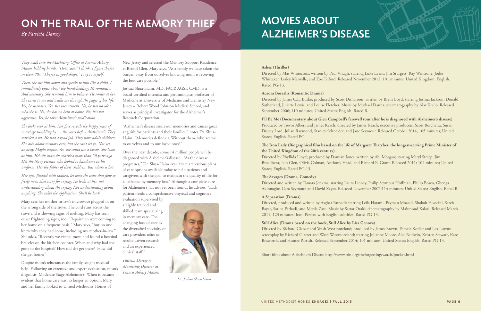*They walk into the Marketing Office at Francis Asbury Manor holding hands. "How cute," I think. I figure they're in their 80s. "They're in good shape," I say to myself.*

*Then, she sits him down and speaks to him like a child. I immediately guess about the hand-holding. It's romantic. And necessary. She reminds him to behave. He smiles at her. She turns to me and walks me through the pages of her life. Yes, he wanders. Yes, he's incontinent. No, he has no idea who she is. No, she has no help at home. No, he's not aggressive. Yes, he takes Alzheimer's medication.*

*She looks over at him. Her face reveals the happy years of marriage tumbling by … the years before Alzheimer's. They traveled a lot. He had a good job. They have adult children. She asks about memory care, but she can't let go. Not yet, anyway. Maybe respite. Yes, she could use a break. She looks at him. He's the man she married more than 50 years ago. He's the Navy veteran who looked so handsome in his uniform. He's the father of their children. But where is he?*

*Her eyes, flushed with sadness, let loose the tears that flow so freely now. She's sorry for crying. He looks at her, not understanding about the crying. Not understanding about anything. She takes the application. She'll be back.*

Mary sees her mother-in-law's microwave plugged in on the wrong side of the stove. The cord runs across the stove and is showing signs of melting. Mary has seen other frightening signs, too. "Repairmen were coming to her home on a frequent basis," Mary says, "but no one knew why they had come, including my mother-in-law." She adds, "Recently we visited mom and found a hospital bracelet on the kitchen counter. When and why had she gone to the hospital? How did she get there? How did she get home?"

Despite mom's reluctance, the family sought medical help. Following an extensive and expert evaluation, mom's diagnosis: Moderate Stage Alzheimer's. When it became evident that home care was no longer an option, Mary and her family looked to United Methodist Homes of

New Jersey and selected the Memory Support Residence at Bristol Glen. Mary says, "As a family we have taken the burden away from ourselves knowing mom is receiving the best care possible."

Joshua Shua-Haim, MD, FACP, AGSF, CMD, is a board-certified internist and gerontologist; professor of Medicine at University of Medicine and Dentistry New Jersey – Robert Wood Johnson Medical School; and serves as principal investigator for the Alzheimer's Research Corporation.

"Alzheimer's disease steals our memories and causes great anguish for patients and their families," notes Dr. Shua-Haim. "Memories define us. Without them, who are we to ourselves and to our loved ones?"

Over the next decade, some 14 million people will be diagnosed with Alzheimer's disease. "As the disease progresses," Dr. Shua-Haim says "there are various plans of care options available today to help patients and caregivers with the goal to maintain the quality of life for all affected by memory loss." Although a complete cure for Alzheimer's has not yet been found, he advises, "Each patient needs a comprehensive physical and cognitive

evaluation supervised by a highly trained and skilled team specializing in memory care. The changing face of care by the diversified specialty of care providers relies on results-driven research and an experienced clinical staff."

*Patricia Darcey is Marketing Director at Francis Asbury Manor.*

# ON THE TRAIL OF THE MEMORY THIEF

*By Patricia Darcey*



*Dr. Joshua Shua-Haim*

### **Ashes (Thriller)**

Directed by Mat Whitecross; written by Paul Viragh; starring Luke Evans, Jim Sturgess, Ray Winstone, Jodie Whittaker, Lesley Manville, and Zoe Telford. Released November 2012; 101 minutes; United Kingdom; English. Rated PG-13.

### **Aurora Borealis (Romantic Drama)**

Directed by James C.E. Burke; produced by Scott Disharoon; written by Brent Boyd; starring Joshua Jackson, Donald Sutherland, Juliette Lewis, and Louise Fletcher. Music by Mychael Danna; cinematography by Alar Kivilo. Released September 2006; 110 minutes; United States; English. Rated R.

**I'll Be Me (Documentary about Glen Campbell's farewell tour after he is diagnosed with Alzheimer's disease)**  Produced by Trevor Albert and James Keach; directed by James Keach; executive producers: Scott Borchetta, Susan Disney Lord, Julian Raymond, Stanley Schneider, and Jane Seymour. Released October 2014; 105 minutes; United States; English. Rated PG.

### **The Iron Lady (Biographical film based on the life of Margaret Thatcher, the longest-serving Prime Minister of the United Kingdom of the 20th century)**

Directed by Phyllida Lloyd; produced by Damian Jones; written by Abi Morgan; starring Meryl Streep, Jim Broadbent, Iain Glen, Olivia Colman, Anthony Head, and Richard E. Grant. Released 2011; 104 minutes; United States; English. Rated PG-13.

### **The Savages (Drama, Comedy)**

Directed and written by Tamara Jenkins; starring Laura Linney, Philip Seymour Hoffman, Philip Bosco, Gbenga Akinnagbe, Cara Seymour, and David Zayas. Released November 2007;114 minutes; United States; English. Rated R.

#### **A Separation (Drama)**

Directed, produced and written by Asghar Farhadi; starring Leila Hatami, Peyman Moaadi, Shahab Hosseini, Sareh Bayat, Sarina Farhadi, and Merila Zare. Music by Sattar Oraki; cinematography by Mahmoud Kalari. Released March 2011; 123 minutes; Iran; Persian with English subtitles. Rated PG-13.

## **Still Alice (Drama based on the book, Still Alice by Lisa Genova)**

Directed by Richard Glatzer and Wash Westmoreland; produced by James Brown, Pamela Koffler and Lex Lutzus; screenplay by Richard Glatzer and Wash Westmoreland; starring Julianne Moore, Alec Baldwin, Kristen Stewart, Kate Bosworth, and Hunter Parrish. Released September 2014; 101 minutes; United States; English. Rated PG-13.

Short films about Alzheimer's Disease http://www.pbs.org/theforgetting/watch/pocket.html

# MOVIES ABOUT ALZHEIMER'S DISEASE

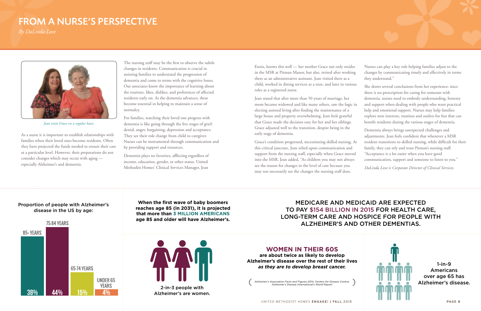As a nurse it is important to establish relationships with families when their loved ones become residents. Often they have projected the funds needed to ensure their care at a particular level. However, their preparations do not consider changes which may occur with aging especially Alzheimer's and dementia.

The nursing staff may be the first to observe the subtle changes in residents. Communication is crucial in assisting families to understand the progression of dementia and come to terms with the cognitive losses. Our associates know the importance of learning about the routines, likes, dislikes, and preferences of affected residents early on. As the dementia advances, these become essential in helping to maintain a sense of normalcy.

For families, watching their loved one progress with dementia is like going through the five stages of grief: denial, anger, bargaining, depression and acceptance. They see their role change from child to caregiver. Nurses can be instrumental through communication and by providing support and resources.

Dementia plays no favorites, afflicting regardless of income, education, gender, or other status. United Methodist Homes' Clinical Services Manager, Jean



*Jean visits Grace on a regular basis.*

# FROM A NURSE'S PERSPECTIVE

*By DaLinda Love*

Grace's condition progressed, necessitating skilled nursing. this critical juncture, Jean relied upon communication and support from the nursing staff, especially when Grace moved into the MSR. Jean added, "As children you may not always see the reason for changes in the level of care because you may not necessarily see the changes the nursing staff does.

### Proportion of people with Alzheimer's disease in the US by age:



**When the first wave of baby boomers reaches age 85 (in 2031), it is projected that more than 3 MILLION AMERICANS age 85 and older will have Alzheimer's.**



2-in-3 people with Alzheimer's are women.

Ennis, knows this well — her mother Grace not only resides in the MSR at Pitman Manor, but also, retired after working there as an administrative assistant. Jean visited there as a child, worked in dining services as a teen, and later in various roles as a registered nurse.

Jean stated that after more than 50 years of marriage, her mom became widowed and like many others, saw the logic electing assisted living after finding the maintenance of a large house and property overwhelming. Jean feels grateful that Grace made the decision easy for her and her siblings. Grace adjusted well to the transition, despite being in the early stage of dementia.

| S<br>g     | Nurses can play a key role helping families adjust to the<br>changes by communicating timely and effectively in terms<br>they understand."                                                                                                  |
|------------|---------------------------------------------------------------------------------------------------------------------------------------------------------------------------------------------------------------------------------------------|
| <b>LLS</b> | She draws several conclusions from her experience: since<br>there is no prescription for caring for someone with<br>dementia, nurses need to embody understanding, honesty                                                                  |
| in         | and support when dealing with people who want practical<br>help and emotional support. Nurses may help families<br>explore new interests, routines and outlets for fun that can<br>benefit residents during the various stages of dementia. |
|            | Dementia always brings unexpected challenges and<br>adjustments. Jean feels confident that whenever a MSR                                                                                                                                   |
| Αt         | resident transitions to skilled nursing, while difficult for their<br>family, they can rely and trust Pitman's nursing staff.                                                                                                               |
| d<br>Ŝ     | "Acceptance is a lot easier when you have good<br>communication, support and someone to listen to you."                                                                                                                                     |
|            | DaLinda Love is Corporate Director of Clinical Services.                                                                                                                                                                                    |

1-in-9 Americans over age 65 has Alzheimer's disease .

### MEDICARE AND MEDICAID ARE EXPECTED TO PAY \$154 BILLION IN 2015 FOR HEALTH CARE, LONG-TERM CARE AND HOSPICE FOR PEOPLE WITH ALZHEIMER'S AND OTHER DEMENTIAS.

### **WOMEN IN THEIR 60S**

**are about twice as likely to develop Alzheimer's disease over the rest of their lives**  *as they are to develop breast cancer.*

*Alzheimer's Association Facts and Figures 2014, Centers for Disease Control,* ( ) *Alzheimer's Disease International's World Report*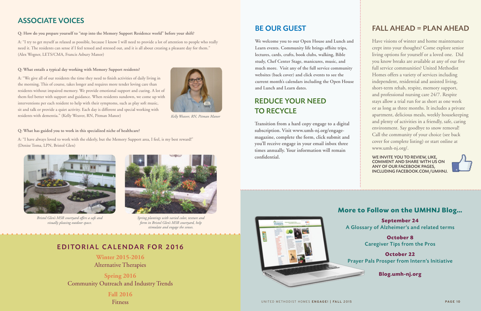### ASSOCIATE VOICES

**Q: How do you prepare yourself to "step into the Memory Support Residence world" before your shift?**

A: "I try to get myself as relaxed as possible, because I know I will need to provide a lot of attention to people who really need it. The residents can sense if I feel tensed and stressed out, and it is all about creating a pleasant day for them." (Alex Wegner, LETS/CMA, Francis Asbury Manor)

### **Q: What entails a typical day working with Memory Support residents?**

A: "We give all of our residents the time they need to finish activities of daily living in the morning. This of course, takes longer and requires more tender loving care than residents without impaired memory. We provide emotional support and cueing. A lot of them feel better with support and guidance. When residents sundown, we come up with interventions per each resident to help with their symptoms, such as play soft music, sit and talk or provide a quiet activity. Each day is different and special working with residents with dementia." (Kelly Weaver, RN, Pitman Manor)

### **Q: What has guided you to work in this specialized niche of healthcare?**

A: "I have always loved to work with the elderly, but the Memory Support area, I feel, is my best reward!" (Denise Toma, LPN, Bristol Glen)

### EDITORIAL CALENDAR FOR 2016

**Winter 2015-2016**  Alternative Therapies

**Spring 2016**  Community Outreach and Industry Trends

**Fall 2016** 

Fitness



*Kelly Weaver, RN, Pitman Manor*



*Bristol Glen's MSR courtyard offers a safe and visually pleasing outdoor space.*



*Spring plantings with varied color, texture and form in Bristol Glen's MSR courtyard, help stimulate and engage the senses.*

WE INVITE YOU TO REVIEW, LIKE, COMMENT AND SHARE WITH US ON ANY OF OUR FACEBOOK PAGES, INCLUDING FACEBOOK.COM/UMHNJ.



### REDUCE YOUR NEED TO RECYCLE

**Transition from a hard copy engage to a digital subscription. Visit www.umh-nj.org/engagemagazine, complete the form, click submit and you'll receive engage in your email inbox three times annually. Your information will remain confidential.**



### FALL AHEAD = PLAN AHEAD

Have visions of winter and home maintenance crept into your thoughts? Come explore senior living options for yourself or a loved one. Did you know breaks are available at any of our five full service communities? United Methodist Homes offers a variety of services including independent, residential and assisted living, short-term rehab, respite, memory support, and professional nursing care 24/7. Respite stays allow a trial run for as short as one week or as long as three months. It includes a private apartment, delicious meals, weekly housekeeping and plenty of activities in a friendly, safe, caring environment. Say goodbye to snow removal! Call the community of your choice (see back cover for complete listing) or start online at www.umh-nj.org/.

### BE OUR GUEST

**We welcome you to our Open House and Lunch and Learn events. Community life brings offsite trips, lectures, cards, crafts, book clubs, walking, Bible study, Chef Center Stage, manicures, music, and much more. Visit any of the full service community websites (back cover) and click events to see the current month's calendars including the Open House and Lunch and Learn dates.**

### **More to Follow on the UMHNJ Blog…**

**September 24** A Glossary of Alzheimer's and related terms

> **October 8** Caregiver Tips from the Pros

### **October 22**

Prayer Pals Prosper from Intern's Initiative

**Blog.umh-nj.org**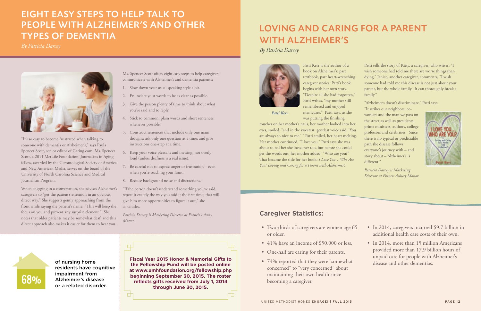"It's so easy to become frustrated when talking to someone with dementia or Alzheimer's," says Paula Spencer Scott, senior editor of Caring.com. Ms. Spencer Scott, a 2011 MetLife Foundation 'Journalists in Aging' fellow, awarded by the Gerontological Society of America and New American Media, serves on the board of the University of North Carolina Science and Medical Journalism Program.

When engaging in a conversation, she advises Alzheimer's caregivers to "get the patient's attention in an obvious, direct way." She suggests gently approaching from the front while saying the patient's name. "This will keep the focus on you and prevent any surprise element." She notes that older patients may be somewhat deaf, and this direct approach also makes it easier for them to hear you.

Ms. Spencer Scott offers eight easy steps to help caregivers communicate with Alzheimer's and dementia patients:

- 1. Slow down your usual speaking style a bit.
- 2. Enunciate your words to be as clear as possible.
- 3. Give the person plenty of time to think about what you've said and to reply.
- 4. Stick to common, plain words and short sentences whenever possible.
- 5. Construct sentences that include only one main thought; ask only one question at a time; and give instructions one-step at a time.
- 6. Keep your voice pleasant and inviting, not overly loud (unless deafness is a real issue).
- 7. Be careful not to express anger or frustration even when you're reaching your limit.
- 8. Reduce background noise and distractions.

"If the person doesn't understand something you've said, repeat it exactly the way you said it the first time; that will give him more opportunities to figure it out," she concludes.

*Patricia Darcey is Marketing Director at Francis Asbury Manor.*



# EIGHT EASY STEPS TO HELP TALK TO PEOPLE WITH ALZHEIMER'S AND OTHER TYPES OF DEMENTIA

*By Patricia Darcey*



of nursing home residents have cognitive impairment from Alzheimer's disease or a related disorder.

由

**Fiscal Year 2015 Honor & Memorial Gifts to the Fellowship Fund will be posted online at www.umhfoundation.org/fellowship.php beginning September 30, 2015. The roster reflects gifts received from July 1, 2014 through June 30, 2015.**

Þ

- In 2014, caregivers incurred \$9.7 billion in additional health care costs of their own.
- In 2014, more than 15 million Americans provided more than 17.9 billion hours of unpaid care for people with Alzheimer's disease and other dementias.

Patti Kerr is the author of a book on Alzheimer's: part textbook, part heart-wrenching caregiver stories. Patti's book begins with her own story. "Despite all she had forgotten," Patti writes, "my mother still remembered and enjoyed manicures." Patti says, as she was putting the finishing

touches on her mother's nails, her mother looked into her eyes, smiled, "and in the sweetest, gentlest voice said, 'You are always so nice to me.' " Patti smiled, her heart melting. Her mother continued, "I love you." Patti says she was about to tell her she loved her too, but before she could get the words out, her mother added, "Who are you?" That became the title for her book: *I Love You…Who Are You? Loving and Caring for a Parent with Alzheimer's*.

Patti tells the story of Kitty, a caregiver, who writes, "I wish someone had told me there are worse things than dying." Janice, another caregiver, comments, "I wish someone had told me this disease is not just about your parent, but the whole family. It can thoroughly break a family."

"Alzheimer's doesn't discriminate," Patti says.

"It strikes our neighbors, coworkers and the man we pass on the street as well as presidents, prime ministers, authors, college professors and celebrities. Since there is no typical or predictable path the disease follows, everyone's journey with – and story about – Alzheimer's is different."

*Patricia Darcey is Marketing Director at Francis Asbury Manor.*



# LOVING AND CARING FOR A PARENT WITH ALZHEIMER'S

### *By Patricia Darcey*



*Patti Kerr*

- Two-thirds of caregivers are women age 65 or older.
- 41% have an income of \$50,000 or less.
- One-half are caring for their parents.
- 74% reported that they were "somewhat" concerned" to "very concerned" about maintaining their own health since becoming a caregiver.

### **Caregiver Statistics:**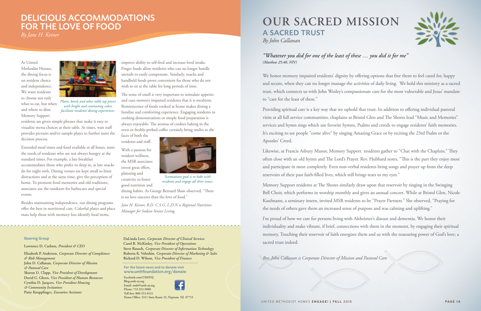#### For the latest news and to donate visit www.umhfoundation.org/donate

**Facebook.com/UMHNJ Blog.umh-nj.org**

**Email: umh@umh-nj.org Phone: 732-922-9800**

**Toll free: 800-352-6521 Home Office: 3311 State Route 33, Neptune, NJ 07753**

#### Steering Group

**Lawrence D. Carlson,** *President & CEO*

**Elizabeth P. Andersen,** *Corporate Director of Compliance & Risk Management* **John D. Callanan,** *Corporate Director of Mission & Pastoral Care* **Sharon D. Clapp,** *Vice President of Development* **David G. Glenn,** *Vice President of Human Resources* **Cynthia D. Jacques,** *Vice President Housing & Community Initiatives* **Patty Koepplinger,** *Executive Assistant*

**DaLinda Love,** *Corporate Director of Clinical Services* **Carol B. McKinley,** *Vice President of Operations* **Steve Rausch,** *Corporate Director of Information Technology* **Roberta K. Voloshin,** *Corporate Director of Marketing & Sales* **Richard D. Wilson,** *Vice President of Finance* 

At United Methodist Homes, the dining focus is on resident choice and independence. We want residents to choose not only what to eat, but when and where to dine. Memory Support

residents are given simple phrases that make it easy to visualize menu choices at their table. At times, wait staff provides pictures and/or sample plates to further assist the decision process.

Extended meal times and food available at all hours, meet the needs of residents who are not always hungry at the standard times. For example, a late breakfast accommodates those who prefer to sleep in, as late snacks do for night owls. Dining venues are kept small to limit distractions and at the same time, give the perception of home. To promote fond memories and old traditions, associates use the outdoors for barbecues and special events.

Besides maintaining independence, our dining programs offer the best in nutritional care. Colorful plates and place mats help those with memory loss identify food items,

improve ability to self-feed and increase food intake. Finger foods allow residents who can no longer handle utensils to easily compensate. Similarly, snacks and handheld foods prove convenient for those who do not wish to sit at the table for long periods of time.

The sense of smell is very important to stimulate appetite and cues memory impaired residents that it is mealtime. Reminiscence of foods cooked at home makes dining a familiar and comforting experience. Engaging residents in cooking demonstrations or simple food preparation is always enjoyable. The aromas of cookies baking in the oven or freshly-perked coffee certainly bring smiles to the

faces of both the residents and staff.

With a passion for resident wellness, the MSR associates invest great effort, planning and creativity to foster good nutrition and

dining habits. As George Bernard Shaw observed, "There is no love sincerer than the love of food."

*Jane H. Keiner, R.D. C.S.G. L.D.N is Regional Nutrition Manager for Sodexo Senior Living.*

### DELICIOUS ACCOMMODATIONS FOR THE LOVE OF FOOD

*By Jane H. Keiner*



*Plates, bowls and other table top pieces with bright and contrasting colors facilitate residents' dining experiences.* 



*Scentsations goal is to bake with residents and engage all their senses.*

We honor memory impaired residents' dignity by offering options that free them to feel cared for, happy and secure, when they can no longer manage the activities of daily living. We hold this ministry as a sacred trust, which connects us with John Wesley's compassionate care for the most vulnerable and Jesus' mandate to "care for the least of these."

Providing spiritual care is a key way that we uphold that trust. In addition to offering individual pastoral visits at all full service communities, chaplains at Bristol Glen and The Shores lead "Music and Memories" services and hymn sings which use favorite hymns, Psalms and creeds to engage residents' faith memories. It's exciting to see people "come alive" by singing Amazing Grace or by reciting the 23rd Psalm or the Apostles' Creed.

Likewise, at Francis Asbury Manor, Memory Support residents gather to "Chat with the Chaplain." They often close with an old hymn and The Lord's Prayer. Rev. Hubbard notes, "This is the part they enjoy most and participate in most completely. Even non-verbal residents bring songs and prayer up from the deep reservoirs of their past faith-filled lives, which still brings tears to my eyes."

Memory Support residents at The Shores similarly draw upon that reservoir by ringing in the Swinging Bell Choir, which performs in worship monthly and gives an annual concert. While at Bristol Glen, Nicole Kaufmann, a seminary intern, invited MSR residents to be "Prayer Partners." She observed, "Praying for the needs of others gave them an increased sense of purpose and was calming and uplifting."

I'm proud of how we care for persons living with Alzheimer's disease and dementia. We honor their individuality and make vibrant, if brief, connections with them in the moment, by engaging their spiritual memory. Touching their reservoir of faith energizes them and us with the reassuring power of God's love; a sacred trust indeed.

*Rev. John Callanan is Corporate Director of Mission and Pastoral Care*

# **OUR SACRED MISSION**  A SACRED TRUST

*By John Callanan*

*"Whatever you did for one of the least of these … you did it for me" (Matthew 25:40, NIV)*